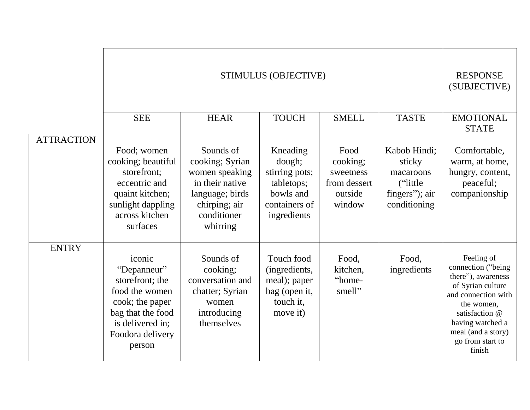|                   |                                                                                                                                                      | <b>RESPONSE</b><br>(SUBJECTIVE)                                                                                                  |                                                                                                 |                                                                    |                                                                                   |                                                                                                                                                                                                            |
|-------------------|------------------------------------------------------------------------------------------------------------------------------------------------------|----------------------------------------------------------------------------------------------------------------------------------|-------------------------------------------------------------------------------------------------|--------------------------------------------------------------------|-----------------------------------------------------------------------------------|------------------------------------------------------------------------------------------------------------------------------------------------------------------------------------------------------------|
|                   | <b>SEE</b>                                                                                                                                           | <b>HEAR</b>                                                                                                                      | <b>TOUCH</b>                                                                                    | <b>SMELL</b>                                                       | <b>TASTE</b>                                                                      | <b>EMOTIONAL</b><br><b>STATE</b>                                                                                                                                                                           |
| <b>ATTRACTION</b> | Food; women<br>cooking; beautiful<br>storefront;<br>eccentric and<br>quaint kitchen;<br>sunlight dappling<br>across kitchen<br>surfaces              | Sounds of<br>cooking; Syrian<br>women speaking<br>in their native<br>language; birds<br>chirping; air<br>conditioner<br>whirring | Kneading<br>dough;<br>stirring pots;<br>tabletops;<br>bowls and<br>containers of<br>ingredients | Food<br>cooking;<br>sweetness<br>from dessert<br>outside<br>window | Kabob Hindi:<br>sticky<br>macaroons<br>("little<br>fingers"); air<br>conditioning | Comfortable,<br>warm, at home,<br>hungry, content,<br>peaceful;<br>companionship                                                                                                                           |
| <b>ENTRY</b>      | iconic<br>"Depanneur"<br>storefront; the<br>food the women<br>cook; the paper<br>bag that the food<br>is delivered in:<br>Foodora delivery<br>person | Sounds of<br>cooking;<br>conversation and<br>chatter; Syrian<br>women<br>introducing<br>themselves                               | Touch food<br>(ingredients,<br>meal); paper<br>bag (open it,<br>touch it.<br>move it)           | Food,<br>kitchen,<br>"home-<br>smell"                              | Food,<br>ingredients                                                              | Feeling of<br>connection ("being<br>there"), awareness<br>of Syrian culture<br>and connection with<br>the women,<br>satisfaction @<br>having watched a<br>meal (and a story)<br>go from start to<br>finish |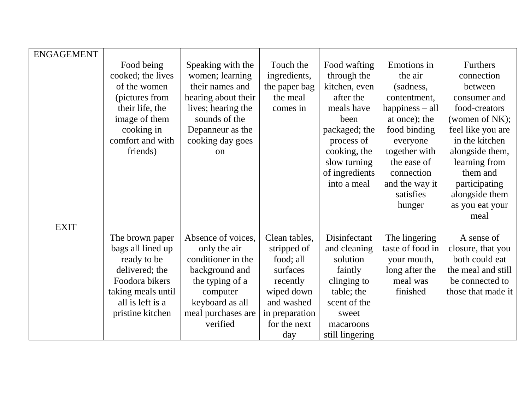| <b>ENGAGEMENT</b> |                    |                     |                |                 |                   |                    |
|-------------------|--------------------|---------------------|----------------|-----------------|-------------------|--------------------|
|                   | Food being         | Speaking with the   | Touch the      | Food wafting    | Emotions in       | Furthers           |
|                   | cooked; the lives  | women; learning     | ingredients,   | through the     | the air           | connection         |
|                   | of the women       | their names and     | the paper bag  | kitchen, even   | (sadness,         | between            |
|                   | (pictures from     | hearing about their | the meal       | after the       | contentment,      | consumer and       |
|                   | their life, the    | lives; hearing the  | comes in       | meals have      | happiness $-$ all | food-creators      |
|                   | image of them      | sounds of the       |                | been            | at once); the     | (women of NK);     |
|                   | cooking in         | Depanneur as the    |                | packaged; the   | food binding      | feel like you are  |
|                   | comfort and with   | cooking day goes    |                | process of      | everyone          | in the kitchen     |
|                   | friends)           | on                  |                | cooking, the    | together with     | alongside them,    |
|                   |                    |                     |                | slow turning    | the ease of       | learning from      |
|                   |                    |                     |                | of ingredients  | connection        | them and           |
|                   |                    |                     |                | into a meal     | and the way it    | participating      |
|                   |                    |                     |                |                 | satisfies         | alongside them     |
|                   |                    |                     |                |                 | hunger            | as you eat your    |
|                   |                    |                     |                |                 |                   | meal               |
| <b>EXIT</b>       |                    |                     |                |                 |                   |                    |
|                   | The brown paper    | Absence of voices,  | Clean tables,  | Disinfectant    | The lingering     | A sense of         |
|                   | bags all lined up  | only the air        | stripped of    | and cleaning    | taste of food in  | closure, that you  |
|                   | ready to be        | conditioner in the  | food; all      | solution        | your mouth,       | both could eat     |
|                   | delivered; the     | background and      | surfaces       | faintly         | long after the    | the meal and still |
|                   | Foodora bikers     | the typing of a     | recently       | clinging to     | meal was          | be connected to    |
|                   | taking meals until | computer            | wiped down     | table; the      | finished          | those that made it |
|                   | all is left is a   | keyboard as all     | and washed     | scent of the    |                   |                    |
|                   | pristine kitchen   | meal purchases are  | in preparation | sweet           |                   |                    |
|                   |                    | verified            | for the next   | macaroons       |                   |                    |
|                   |                    |                     | day            | still lingering |                   |                    |